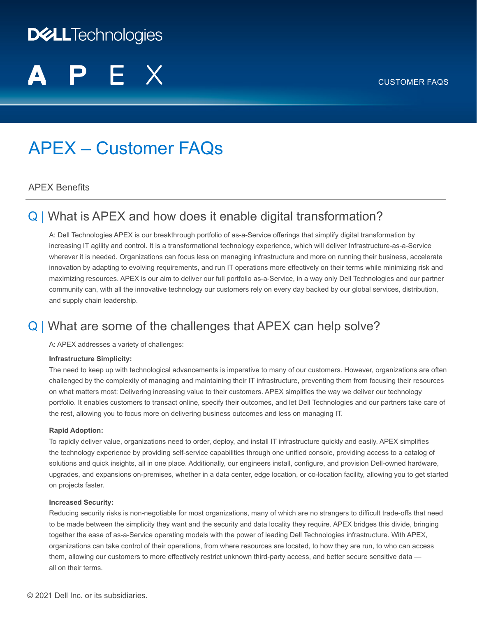#### CUSTOMER FAQS

# **DELLTechnologies**

# APEX – Customer FAQs

#### APEX Benefits

## Q | What is APEX and how does it enable digital transformation?

A: Dell Technologies APEX is our breakthrough portfolio of as-a-Service offerings that simplify digital transformation by increasing IT agility and control. It is a transformational technology experience, which will deliver Infrastructure-as-a-Service wherever it is needed. Organizations can focus less on managing infrastructure and more on running their business, accelerate innovation by adapting to evolving requirements, and run IT operations more effectively on their terms while minimizing risk and maximizing resources. APEX is our aim to deliver our full portfolio as-a-Service, in a way only Dell Technologies and our partner community can, with all the innovative technology our customers rely on every day backed by our global services, distribution, and supply chain leadership.

## Q | What are some of the challenges that APEX can help solve?

A: APEX addresses a variety of challenges:

#### **Infrastructure Simplicity:**

The need to keep up with technological advancements is imperative to many of our customers. However, organizations are often challenged by the complexity of managing and maintaining their IT infrastructure, preventing them from focusing their resources on what matters most: Delivering increasing value to their customers. APEX simplifies the way we deliver our technology portfolio. It enables customers to transact online, specify their outcomes, and let Dell Technologies and our partners take care of the rest, allowing you to focus more on delivering business outcomes and less on managing IT.

#### **Rapid Adoption:**

To rapidly deliver value, organizations need to order, deploy, and install IT infrastructure quickly and easily. APEX simplifies the technology experience by providing self-service capabilities through one unified console, providing access to a catalog of solutions and quick insights, all in one place. Additionally, our engineers install, configure, and provision Dell-owned hardware, upgrades, and expansions on-premises, whether in a data center, edge location, or co-location facility, allowing you to get started on projects faster.

#### **Increased Security:**

Reducing security risks is non-negotiable for most organizations, many of which are no strangers to difficult trade-offs that need to be made between the simplicity they want and the security and data locality they require. APEX bridges this divide, bringing together the ease of as-a-Service operating models with the power of leading Dell Technologies infrastructure. With APEX, organizations can take control of their operations, from where resources are located, to how they are run, to who can access them, allowing our customers to more effectively restrict unknown third-party access, and better secure sensitive data all on their terms.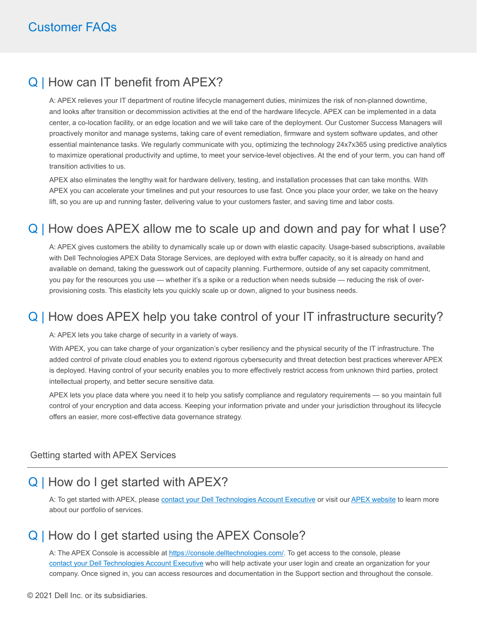#### Q | How can IT benefit from APEX?

A: APEX relieves your IT department of routine lifecycle management duties, minimizes the risk of non-planned downtime, and looks after transition or decommission activities at the end of the hardware lifecycle. APEX can be implemented in a data center, a co-location facility, or an edge location and we will take care of the deployment. Our Customer Success Managers will proactively monitor and manage systems, taking care of event remediation, firmware and system software updates, and other essential maintenance tasks. We regularly communicate with you, optimizing the technology 24x7x365 using predictive analytics to maximize operational productivity and uptime, to meet your service-level objectives. At the end of your term, you can hand off transition activities to us.

APEX also eliminates the lengthy wait for hardware delivery, testing, and installation processes that can take months. With APEX you can accelerate your timelines and put your resources to use fast. Once you place your order, we take on the heavy lift, so you are up and running faster, delivering value to your customers faster, and saving time and labor costs.

## Q | How does APEX allow me to scale up and down and pay for what I use?

A: APEX gives customers the ability to dynamically scale up or down with elastic capacity. Usage-based subscriptions, available with Dell Technologies APEX Data Storage Services, are deployed with extra buffer capacity, so it is already on hand and available on demand, taking the guesswork out of capacity planning. Furthermore, outside of any set capacity commitment, you pay for the resources you use — whether it's a spike or a reduction when needs subside — reducing the risk of overprovisioning costs. This elasticity lets you quickly scale up or down, aligned to your business needs.

## Q | How does APEX help you take control of your IT infrastructure security?

A: APEX lets you take charge of security in a variety of ways.

With APEX, you can take charge of your organization's cyber resiliency and the physical security of the IT infrastructure. The added control of private cloud enables you to extend rigorous cybersecurity and threat detection best practices wherever APEX is deployed. Having control of your security enables you to more effectively restrict access from unknown third parties, protect intellectual property, and better secure sensitive data.

APEX lets you place data where you need it to help you satisfy compliance and regulatory requirements — so you maintain full control of your encryption and data access. Keeping your information private and under your jurisdiction throughout its lifecycle offers an easier, more cost-effective data governance strategy.

#### Getting started with APEX Services

#### Q | How do I get started with APEX?

A: To get started with APEX, please [contact your Dell Technologies Account Executive](https://www.delltechnologies.com/en-us/contactus.htm) or visit our [APEX website](https://www.delltechnologies.com/en-us/solutions/apex/index.htm) to learn more about our portfolio of services.

#### Q | How do I get started using the APEX Console?

A: The APEX Console is accessible at<https://console.delltechnologies.com/>. To get access to the console, please [contact your Dell Technologies Account Executive](https://www.delltechnologies.com/en-us/contactus.htm) who will help activate your user login and create an organization for your company. Once signed in, you can access resources and documentation in the Support section and throughout the console.